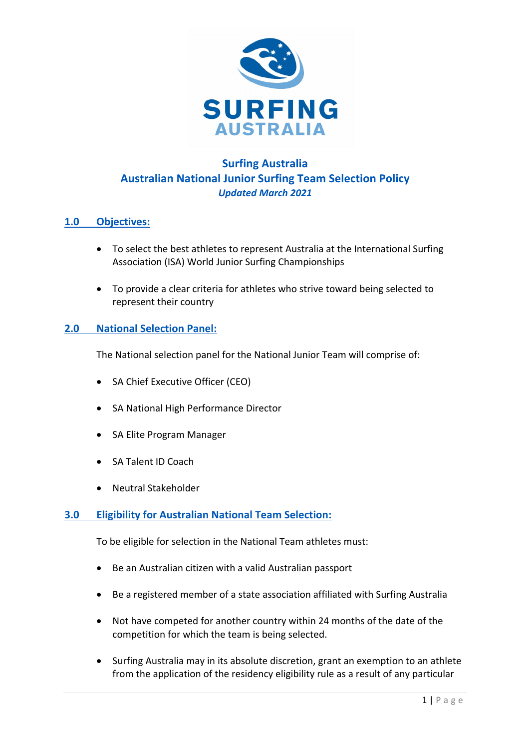

# **Surfing Australia Australian National Junior Surfing Team Selection Policy** *Updated March 2021*

## **1.0 Objectives:**

- To select the best athletes to represent Australia at the International Surfing Association (ISA) World Junior Surfing Championships
- To provide a clear criteria for athletes who strive toward being selected to represent their country

## **2.0 National Selection Panel:**

The National selection panel for the National Junior Team will comprise of:

- SA Chief Executive Officer (CEO)
- SA National High Performance Director
- SA Elite Program Manager
- SA Talent ID Coach
- Neutral Stakeholder

### **3.0 Eligibility for Australian National Team Selection:**

To be eligible for selection in the National Team athletes must:

- Be an Australian citizen with a valid Australian passport
- Be a registered member of a state association affiliated with Surfing Australia
- Not have competed for another country within 24 months of the date of the competition for which the team is being selected.
- Surfing Australia may in its absolute discretion, grant an exemption to an athlete from the application of the residency eligibility rule as a result of any particular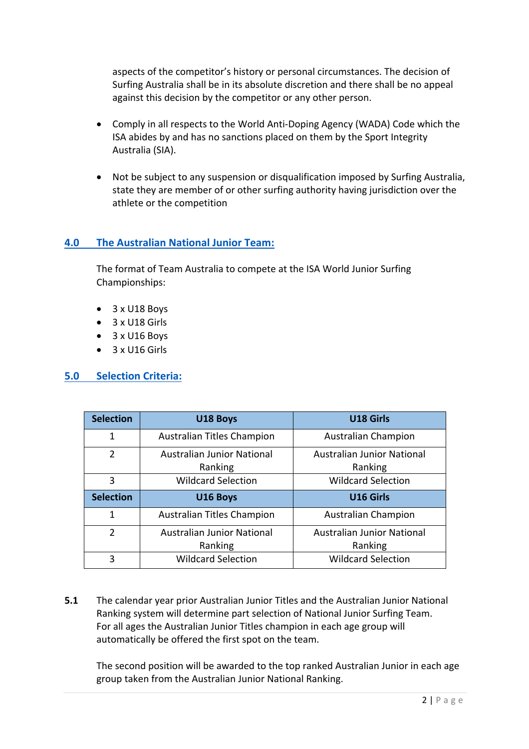aspects of the competitor's history or personal circumstances. The decision of Surfing Australia shall be in its absolute discretion and there shall be no appeal against this decision by the competitor or any other person.

- Comply in all respects to the World Anti-Doping Agency (WADA) Code which the ISA abides by and has no sanctions placed on them by the Sport Integrity Australia (SIA).
- Not be subject to any suspension or disqualification imposed by Surfing Australia, state they are member of or other surfing authority having jurisdiction over the athlete or the competition

### **4.0 The Australian National Junior Team:**

The format of Team Australia to compete at the ISA World Junior Surfing Championships:

- 3 x U18 Boys
- 3 x U18 Girls
- 3 x U16 Boys
- $\bullet$  3 x U16 Girls

#### **5.0 Selection Criteria:**

| <b>Selection</b> | U18 Boys                                     | U18 Girls                                    |
|------------------|----------------------------------------------|----------------------------------------------|
| 1                | Australian Titles Champion                   | <b>Australian Champion</b>                   |
| 2                | <b>Australian Junior National</b><br>Ranking | <b>Australian Junior National</b><br>Ranking |
| 3                | <b>Wildcard Selection</b>                    | <b>Wildcard Selection</b>                    |
| <b>Selection</b> | U16 Boys                                     | <b>U16 Girls</b>                             |
| 1                | Australian Titles Champion                   | <b>Australian Champion</b>                   |
| $\mathfrak{p}$   | <b>Australian Junior National</b><br>Ranking | <b>Australian Junior National</b><br>Ranking |
| 3                | <b>Wildcard Selection</b>                    | <b>Wildcard Selection</b>                    |

**5.1** The calendar year prior Australian Junior Titles and the Australian Junior National Ranking system will determine part selection of National Junior Surfing Team. For all ages the Australian Junior Titles champion in each age group will automatically be offered the first spot on the team.

The second position will be awarded to the top ranked Australian Junior in each age group taken from the Australian Junior National Ranking.